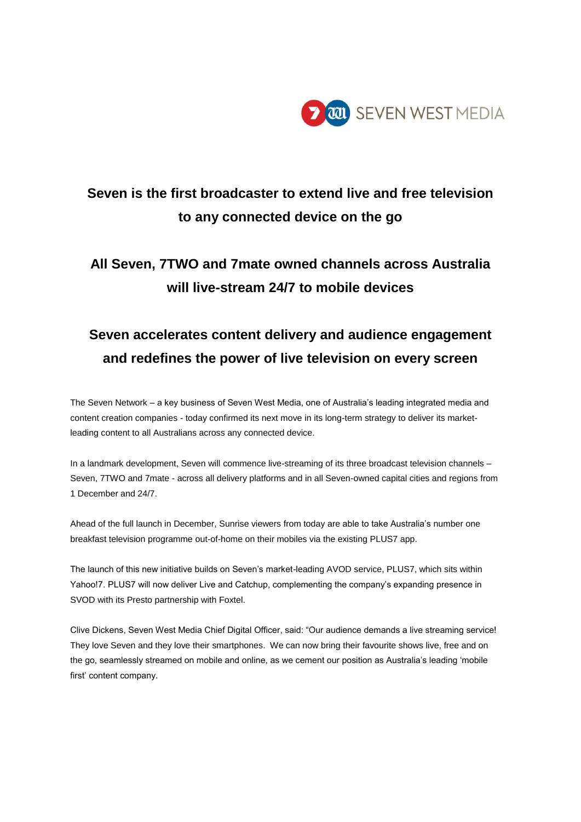

# **Seven is the first broadcaster to extend live and free television to any connected device on the go**

# **All Seven, 7TWO and 7mate owned channels across Australia will live-stream 24/7 to mobile devices**

# **Seven accelerates content delivery and audience engagement and redefines the power of live television on every screen**

The Seven Network – a key business of Seven West Media, one of Australia's leading integrated media and content creation companies - today confirmed its next move in its long-term strategy to deliver its marketleading content to all Australians across any connected device.

In a landmark development, Seven will commence live-streaming of its three broadcast television channels – Seven, 7TWO and 7mate - across all delivery platforms and in all Seven-owned capital cities and regions from 1 December and 24/7.

Ahead of the full launch in December, Sunrise viewers from today are able to take Australia's number one breakfast television programme out-of-home on their mobiles via the existing PLUS7 app.

The launch of this new initiative builds on Seven's market-leading AVOD service, PLUS7, which sits within Yahoo!7. PLUS7 will now deliver Live and Catchup, complementing the company's expanding presence in SVOD with its Presto partnership with Foxtel.

Clive Dickens, Seven West Media Chief Digital Officer, said: "Our audience demands a live streaming service! They love Seven and they love their smartphones. We can now bring their favourite shows live, free and on the go, seamlessly streamed on mobile and online, as we cement our position as Australia's leading 'mobile first' content company.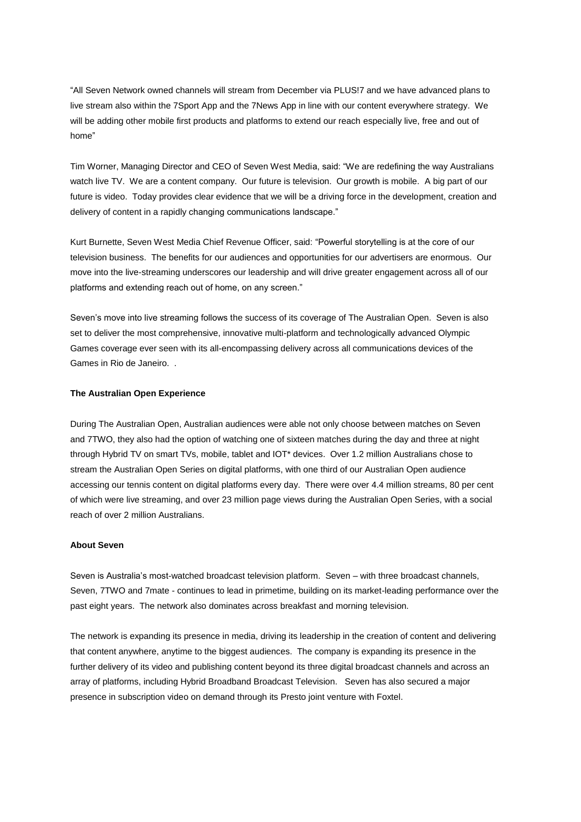"All Seven Network owned channels will stream from December via PLUS!7 and we have advanced plans to live stream also within the 7Sport App and the 7News App in line with our content everywhere strategy. We will be adding other mobile first products and platforms to extend our reach especially live, free and out of home"

Tim Worner, Managing Director and CEO of Seven West Media, said: "We are redefining the way Australians watch live TV. We are a content company. Our future is television. Our growth is mobile. A big part of our future is video. Today provides clear evidence that we will be a driving force in the development, creation and delivery of content in a rapidly changing communications landscape."

Kurt Burnette, Seven West Media Chief Revenue Officer, said: "Powerful storytelling is at the core of our television business. The benefits for our audiences and opportunities for our advertisers are enormous. Our move into the live-streaming underscores our leadership and will drive greater engagement across all of our platforms and extending reach out of home, on any screen."

Seven's move into live streaming follows the success of its coverage of The Australian Open. Seven is also set to deliver the most comprehensive, innovative multi-platform and technologically advanced Olympic Games coverage ever seen with its all-encompassing delivery across all communications devices of the Games in Rio de Janeiro. .

#### **The Australian Open Experience**

During The Australian Open, Australian audiences were able not only choose between matches on Seven and 7TWO, they also had the option of watching one of sixteen matches during the day and three at night through Hybrid TV on smart TVs, mobile, tablet and IOT\* devices. Over 1.2 million Australians chose to stream the Australian Open Series on digital platforms, with one third of our Australian Open audience accessing our tennis content on digital platforms every day. There were over 4.4 million streams, 80 per cent of which were live streaming, and over 23 million page views during the Australian Open Series, with a social reach of over 2 million Australians.

#### **About Seven**

Seven is Australia's most-watched broadcast television platform. Seven – with three broadcast channels, Seven, 7TWO and 7mate - continues to lead in primetime, building on its market-leading performance over the past eight years. The network also dominates across breakfast and morning television.

The network is expanding its presence in media, driving its leadership in the creation of content and delivering that content anywhere, anytime to the biggest audiences. The company is expanding its presence in the further delivery of its video and publishing content beyond its three digital broadcast channels and across an array of platforms, including Hybrid Broadband Broadcast Television. Seven has also secured a major presence in subscription video on demand through its Presto joint venture with Foxtel.